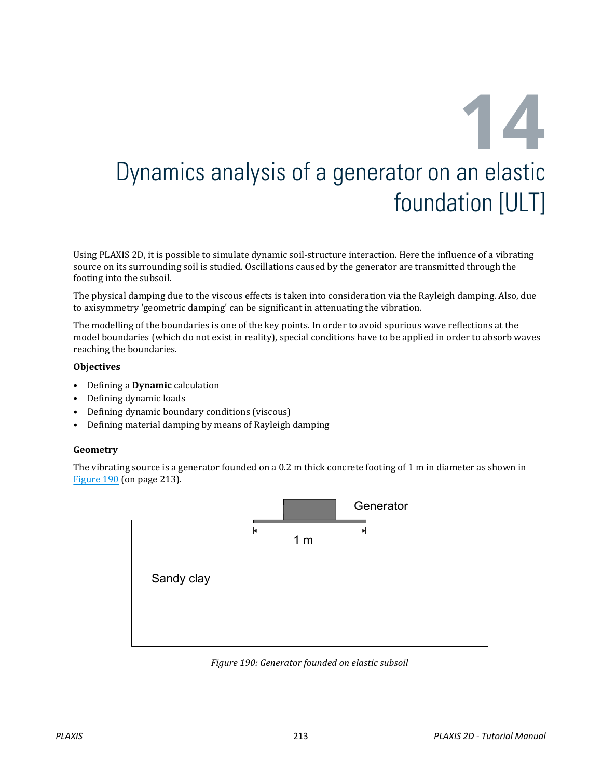# **14** Dynamics analysis of a generator on an elastic foundation [ULT]

Using PLAXIS 2D, it is possible to simulate dynamic soil-structure interaction. Here the influence of a vibrating source on its surrounding soil is studied. Oscillations caused by the generator are transmitted through the footing into the subsoil.

The physical damping due to the viscous effects is taken into consideration via the Rayleigh damping. Also, due to axisymmetry 'geometric damping' can be significant in attenuating the vibration.

The modelling of the boundaries is one of the key points. In order to avoid spurious wave reflections at the model boundaries (which do not exist in reality), special conditions have to be applied in order to absorb waves reaching the boundaries.

#### **Objectives**

- Defining a **Dynamic** calculation
- Defining dynamic loads
- Defining dynamic boundary conditions (viscous)
- Defining material damping by means of Rayleigh damping

#### **Geometry**

The vibrating source is a generator founded on a 0.2 m thick concrete footing of 1 m in diameter as shown in Figure 190 (on page 213).



*Figure 190: Generator founded on elastic subsoil*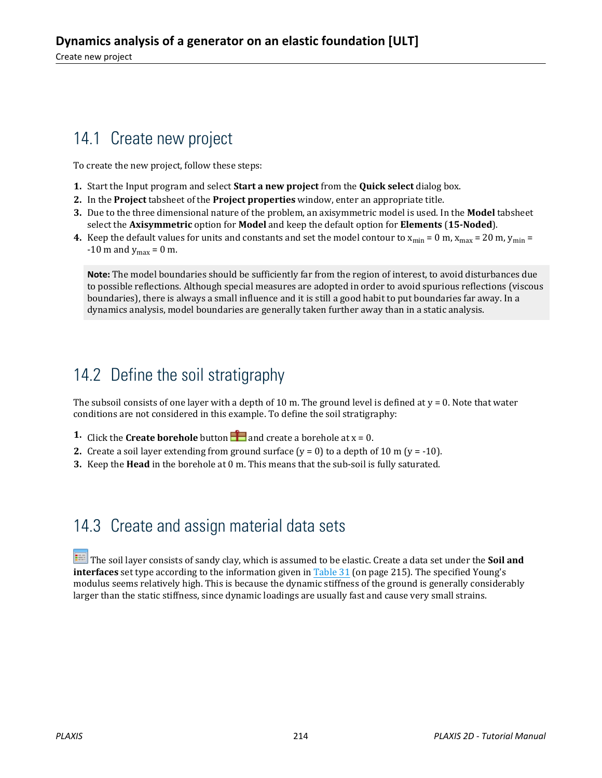# 14.1 Create new project

To create the new project, follow these steps:

- **1.** Start the Input program and select **Start a new project** from the **Quick select** dialog box.
- **2.** In the **Project** tabsheet of the **Project properties** window, enter an appropriate title.
- **3.** Due to the three dimensional nature of the problem, an axisymmetric model is used. In the **Model** tabsheet select the **Axisymmetric** option for **Model** and keep the default option for **Elements** (**15-Noded**).
- **4.** Keep the default values for units and constants and set the model contour to  $x_{min} = 0$  m,  $x_{max} = 20$  m,  $y_{min} = 1$  $-10$  m and  $y_{\text{max}} = 0$  m.

**Note:** The model boundaries should be sufficiently far from the region of interest, to avoid disturbances due to possible reflections. Although special measures are adopted in order to avoid spurious reflections (viscous boundaries), there is always a small influence and it is still a good habit to put boundaries far away. In a dynamics analysis, model boundaries are generally taken further away than in a static analysis.

# 14.2 Define the soil stratigraphy

The subsoil consists of one layer with a depth of 10 m. The ground level is defined at  $y = 0$ . Note that water conditions are not considered in this example. To define the soil stratigraphy:

- **1.** Click the **Create borehole** button **and create a borehole at**  $x = 0$ **.**
- **2.** Create a soil layer extending from ground surface  $(y = 0)$  to a depth of 10 m  $(y = -10)$ .
- **3.** Keep the **Head** in the borehole at 0 m. This means that the sub-soil is fully saturated.

## 14.3 Create and assign material data sets

 The soil layer consists of sandy clay, which is assumed to be elastic. Create a data set under the **Soil and interfaces** set type according to the information given in [Table 31](#page-2-0) (on page 215). The specified Young's modulus seems relatively high. This is because the dynamic stiffness of the ground is generally considerably larger than the static stiffness, since dynamic loadings are usually fast and cause very small strains.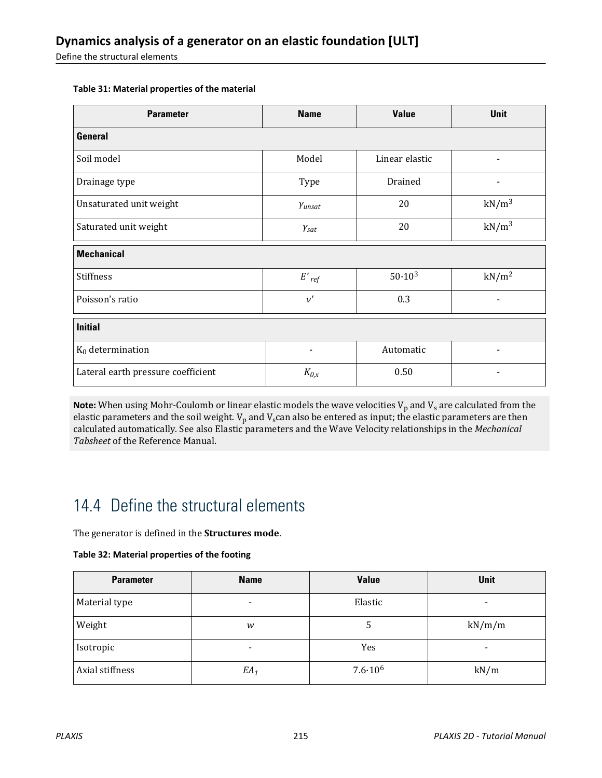<span id="page-2-0"></span>Define the structural elements

| <b>Parameter</b>                   | <b>Name</b>              | <b>Value</b>   | <b>Unit</b>              |  |  |
|------------------------------------|--------------------------|----------------|--------------------------|--|--|
| <b>General</b>                     |                          |                |                          |  |  |
| Soil model                         | Model                    | Linear elastic |                          |  |  |
| Drainage type                      | Type                     | Drained        |                          |  |  |
| Unsaturated unit weight            | Yunsat                   | 20             | $kN/m^3$                 |  |  |
| Saturated unit weight              | $\gamma_{\text sat}$     | 20             | kN/m <sup>3</sup>        |  |  |
| <b>Mechanical</b>                  |                          |                |                          |  |  |
| <b>Stiffness</b>                   | $E'_{ref}$               | $50.10^{3}$    | kN/m <sup>2</sup>        |  |  |
| Poisson's ratio                    | $\nu'$                   | 0.3            | $\overline{\phantom{a}}$ |  |  |
| <b>Initial</b>                     |                          |                |                          |  |  |
| $K_0$ determination                | $\overline{\phantom{a}}$ | Automatic      | $\overline{\phantom{a}}$ |  |  |
| Lateral earth pressure coefficient | $K_{0,x}$                | 0.50           |                          |  |  |

#### **Table 31: Material properties of the material**

**Note:** When using Mohr-Coulomb or linear elastic models the wave velocities V<sub>p</sub> and V<sub>s</sub> are calculated from the elastic parameters and the soil weight.  $V_p$  and  $V_s$  can also be entered as input; the elastic parameters are then calculated automatically. See also Elastic parameters and the Wave Velocity relationships in the *Mechanical Tabsheet* of the Reference Manual.

# 14.4 Define the structural elements

The generator is defined in the **Structures mode**.

#### **Table 32: Material properties of the footing**

| <b>Parameter</b> | <b>Name</b>              | <b>Value</b>       | <b>Unit</b>              |
|------------------|--------------------------|--------------------|--------------------------|
| Material type    | $\overline{\phantom{0}}$ | Elastic            | $\overline{\phantom{0}}$ |
| Weight           | w                        | 5                  | kN/m/m                   |
| Isotropic        | $\overline{\phantom{a}}$ | Yes                | $\overline{\phantom{a}}$ |
| Axial stiffness  | $EA_1$                   | $7.6 \cdot 10^{6}$ | kN/m                     |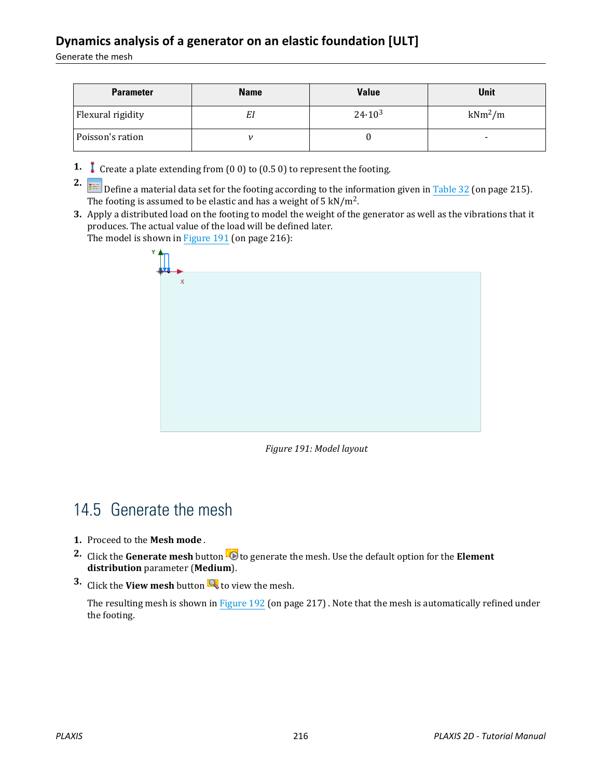### **Dynamics analysis of a generator on an elastic foundation [ULT]**

Generate the mesh

| <b>Parameter</b>  | <b>Name</b> | <b>Value</b> | Unit                     |
|-------------------|-------------|--------------|--------------------------|
| Flexural rigidity | Εl          | $24.10^3$    | $kNm^2/m$                |
| Poisson's ration  |             |              | $\overline{\phantom{0}}$ |

**1.** Create a plate extending from (0 0) to (0.5 0) to represent the footing.

**2. Example 1** Define a material data set for the footing according to the information given in [Table 32](#page-2-0) (on page 215). The footing is assumed to be elastic and has a weight of 5 kN/m<sup>2</sup>.

**3.** Apply a distributed load on the footing to model the weight of the generator as well as the vibrations that it produces. The actual value of the load will be defined later. The model is shown in Figure 191 (on page 216):



*Figure 191: Model layout*

# 14.5 Generate the mesh

- **1.** Proceed to the **Mesh mode** .
- **2.** Click the **Generate mesh** button **to** to generate the mesh. Use the default option for the **Element distribution** parameter (**Medium**).
- **3.** Click the **View mesh** button **R** to view the mesh.

The resulting mesh is shown in [Figure 192](#page-4-0) (on page 217). Note that the mesh is automatically refined under the footing.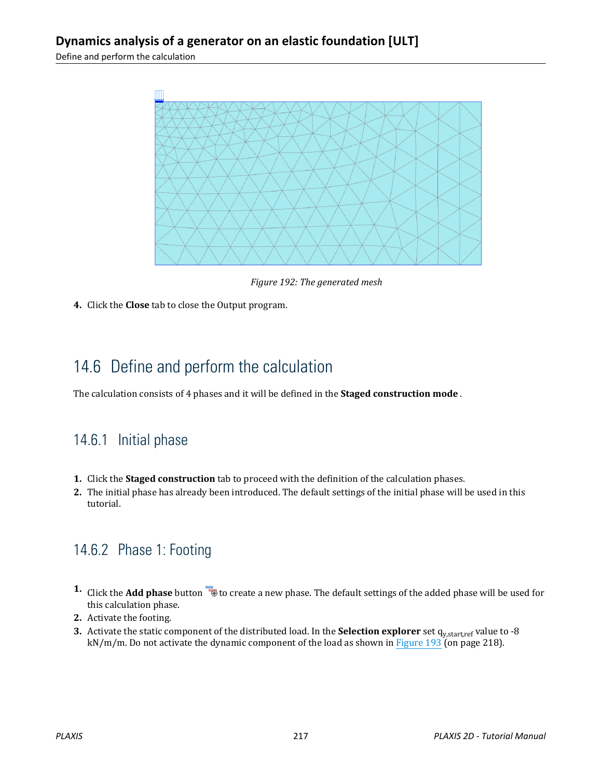<span id="page-4-0"></span>Define and perform the calculation



*Figure 192: The generated mesh*

**4.** Click the **Close** tab to close the Output program.

# 14.6 Define and perform the calculation

The calculation consists of 4 phases and it will be defined in the **Staged construction mode** .

## 14.6.1 Initial phase

- **1.** Click the **Staged construction** tab to proceed with the definition of the calculation phases.
- **2.** The initial phase has already been introduced. The default settings of the initial phase will be used in this tutorial.

## 14.6.2 Phase 1: Footing

- 1. Click the **Add phase** button **the create a new phase.** The default settings of the added phase will be used for this calculation phase.
- **2.** Activate the footing.
- **3.** Activate the static component of the distributed load. In the **Selection explorer** set q<sub>y,start,ref value to -8</sub> kN/m/m. Do not activate the dynamic component of the load as shown in [Figure 193](#page-5-0) (on page 218).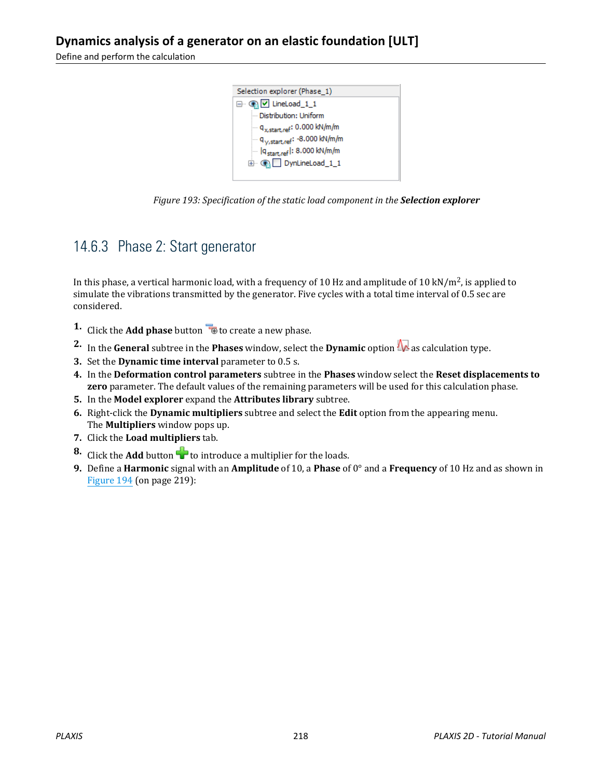<span id="page-5-0"></span>Define and perform the calculation



*Figure 193: Specification of the static load component in the Selection explorer*

## 14.6.3 Phase 2: Start generator

In this phase, a vertical harmonic load, with a frequency of 10 Hz and amplitude of 10 kN/m<sup>2</sup>, is applied to simulate the vibrations transmitted by the generator. Five cycles with a total time interval of 0.5 sec are considered.

- **1.** Click the **Add phase** button **the create a new phase.**
- **2.** In the **General** subtree in the **Phases** window, select the **Dynamic** option  $\mathbf{w}$  as calculation type.
- **3.** Set the **Dynamic time interval** parameter to 0.5 s.
- **4.** In the **Deformation control parameters** subtree in the **Phases** window select the **Reset displacements to zero** parameter. The default values of the remaining parameters will be used for this calculation phase.
- **5.** In the **Model explorer** expand the **Attributes library** subtree.
- **6.** Right-click the **Dynamic multipliers** subtree and select the **Edit** option from the appearing menu. The **Multipliers** window pops up.
- **7.** Click the **Load multipliers** tab.
- **8.** Click the **Add** button  $\mathbf{\hat{a}}$  to introduce a multiplier for the loads.
- **9.** Define a **Harmonic** signal with an **Amplitude** of 10, a **Phase** of 0° and a **Frequency** of 10 Hz and as shown in [Figure 194](#page-6-0) (on page 219):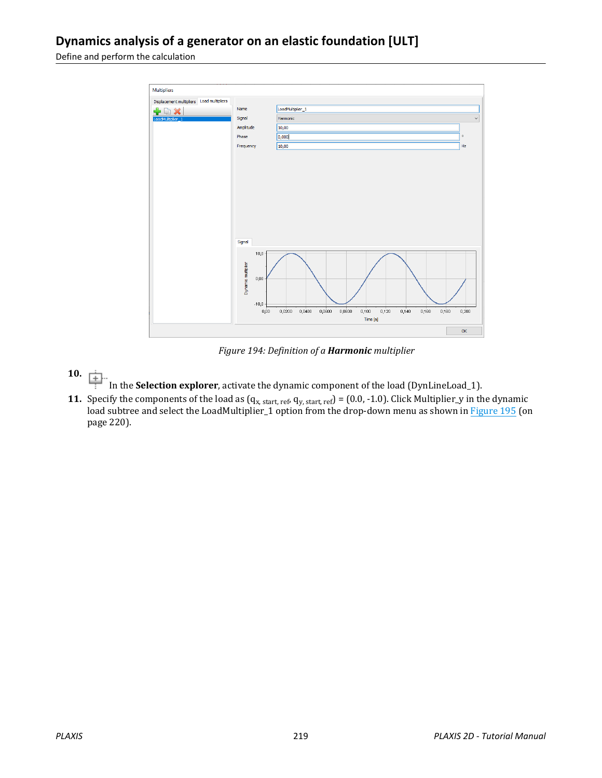<span id="page-6-0"></span>Define and perform the calculation



*Figure 194: Definition of a Harmonic multiplier*

- **10.** 面
	- In the **Selection explorer**, activate the dynamic component of the load (DynLineLoad\_1).
- **11.** Specify the components of the load as  $(q_{x, start, ref}, q_{y, start, ref}) = (0.0, -1.0)$ . Click Multiplier\_y in the dynamic load subtree and select the LoadMultiplier\_1 option from the drop-down menu as shown in [Figure 195](#page-7-0) (on page 220).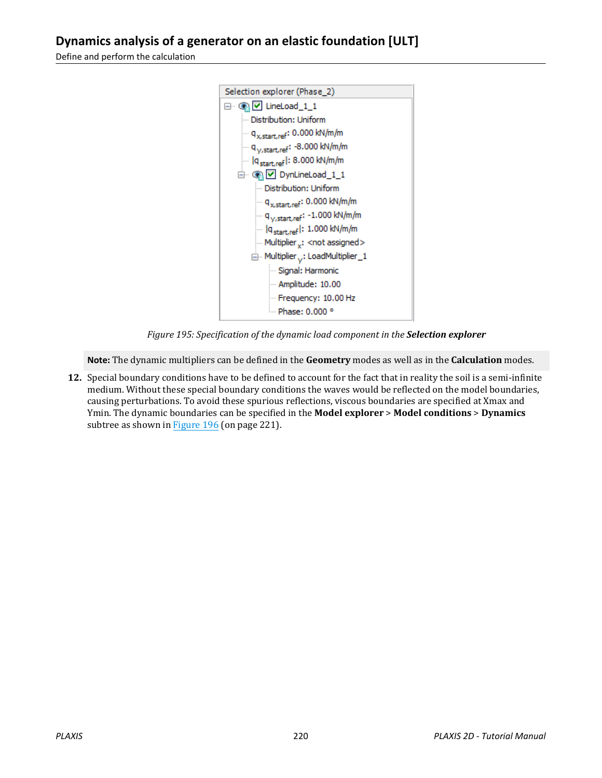#### <span id="page-7-0"></span>**Dynamics analysis of a generator on an elastic foundation [ULT]**

Define and perform the calculation



*Figure 195: Specification of the dynamic load component in the Selection explorer*

**Note:** The dynamic multipliers can be defined in the **Geometry** modes as well as in the **Calculation** modes.

**12.** Special boundary conditions have to be defined to account for the fact that in reality the soil is a semi-infinite medium. Without these special boundary conditions the waves would be reflected on the model boundaries, causing perturbations. To avoid these spurious reflections, viscous boundaries are specified at Xmax and Ymin. The dynamic boundaries can be specified in the **Model explorer** > **Model conditions** > **Dynamics** subtree as shown in [Figure 196](#page-8-0) (on page 221).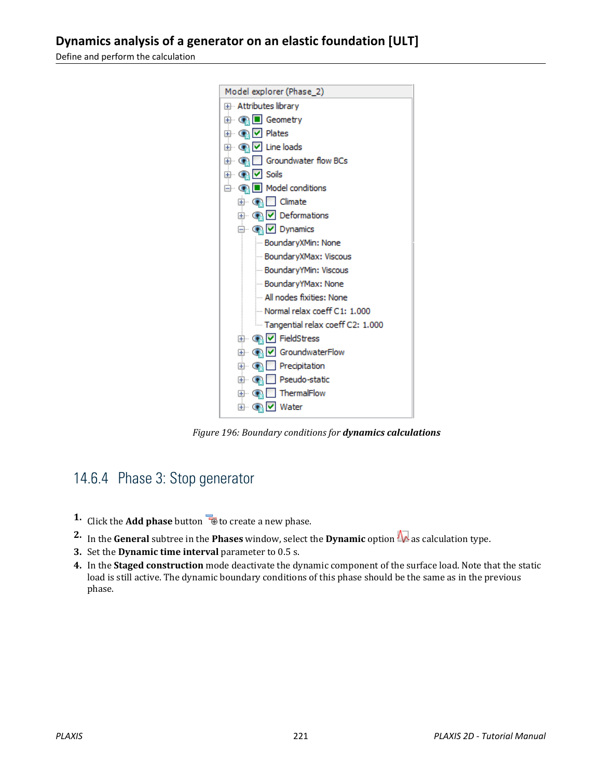#### <span id="page-8-0"></span>**Dynamics analysis of a generator on an elastic foundation [ULT]**

Define and perform the calculation



*Figure 196: Boundary conditions for dynamics calculations*

## 14.6.4 Phase 3: Stop generator

- **1.** Click the **Add phase** button **the contract of create a new phase.**
- **2.** In the **General** subtree in the **Phases** window, select the **Dynamic** option  $\mathbf{w}$  as calculation type.
- **3.** Set the **Dynamic time interval** parameter to 0.5 s.
- **4.** In the **Staged construction** mode deactivate the dynamic component of the surface load. Note that the static load is still active. The dynamic boundary conditions of this phase should be the same as in the previous phase.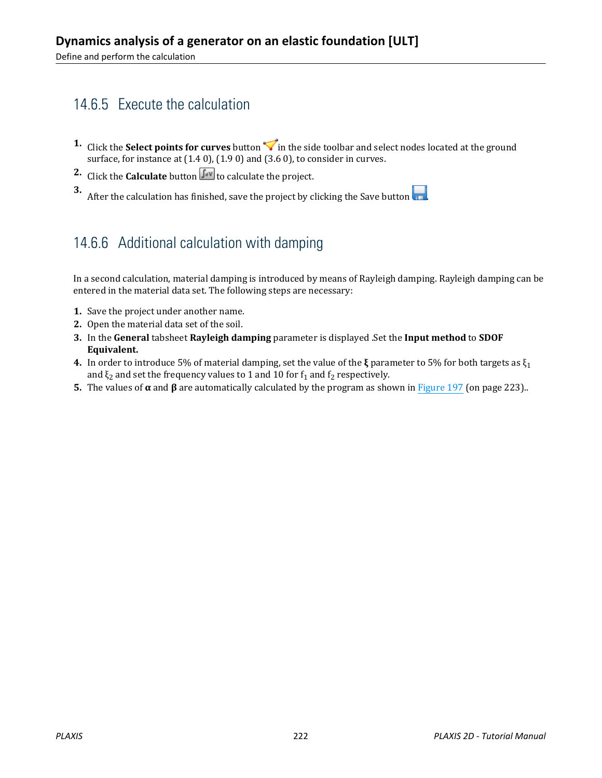## 14.6.5 Execute the calculation

- **1.** Click the **Select points for curves** button in the side toolbar and select nodes located at the ground surface, for instance at (1.4 0), (1.9 0) and (3.6 0), to consider in curves.
- **2.** Click the **Calculate** button  $\begin{bmatrix} \sqrt{4} \\ 4 \end{bmatrix}$  to calculate the project.

**3.** After the calculation has finished, save the project by clicking the Save button  $\begin{array}{|c|c|}\n\hline\n\hline\n\end{array}$ 

## 14.6.6 Additional calculation with damping

In a second calculation, material damping is introduced by means of Rayleigh damping. Rayleigh damping can be entered in the material data set. The following steps are necessary:

- **1.** Save the project under another name.
- **2.** Open the material data set of the soil.
- **3.** In the **General** tabsheet **Rayleigh damping** parameter is displayed .Set the **Input method** to **SDOF Equivalent.**
- **4.** In order to introduce 5% of material damping, set the value of the **ξ** parameter to 5% for both targets as ξ<sub>1</sub> and  $\xi_2$  and set the frequency values to 1 and 10 for  $f_1$  and  $f_2$  respectively.
- **5.** The values of  $\alpha$  and  $\beta$  are automatically calculated by the program as shown in [Figure 197](#page-10-0) (on page 223)..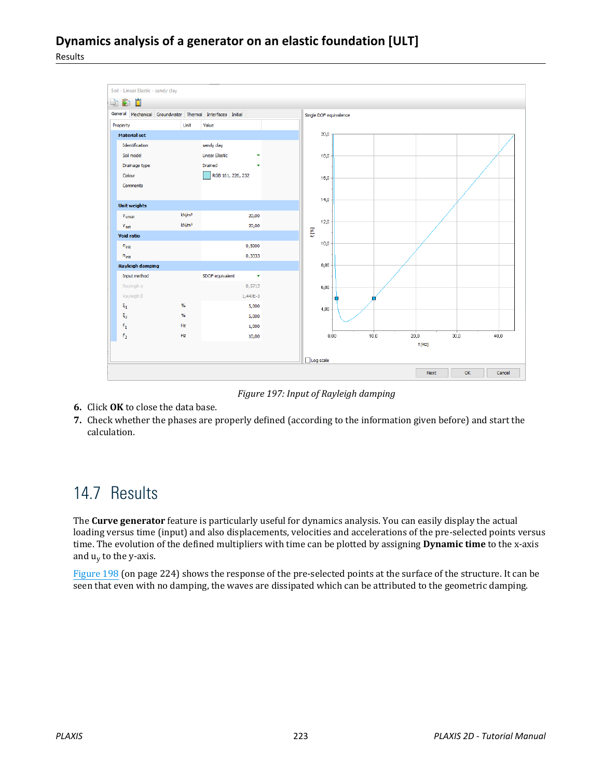#### <span id="page-10-0"></span>**Dynamics analysis of a generator on an elastic foundation [ULT]** Results



*Figure 197: Input of Rayleigh damping*

- **6.** Click **OK** to close the data base.
- **7.** Check whether the phases are properly defined (according to the information given before) and start the calculation.

# 14.7 Results

The **Curve generator** feature is particularly useful for dynamics analysis. You can easily display the actual loading versus time (input) and also displacements, velocities and accelerations of the pre-selected points versus time. The evolution of the defined multipliers with time can be plotted by assigning **Dynamic time** to the x-axis and u<sub>y</sub> to the y-axis.

[Figure 198](#page-11-0) (on page 224) shows the response of the pre-selected points at the surface of the structure. It can be seen that even with no damping, the waves are dissipated which can be attributed to the geometric damping.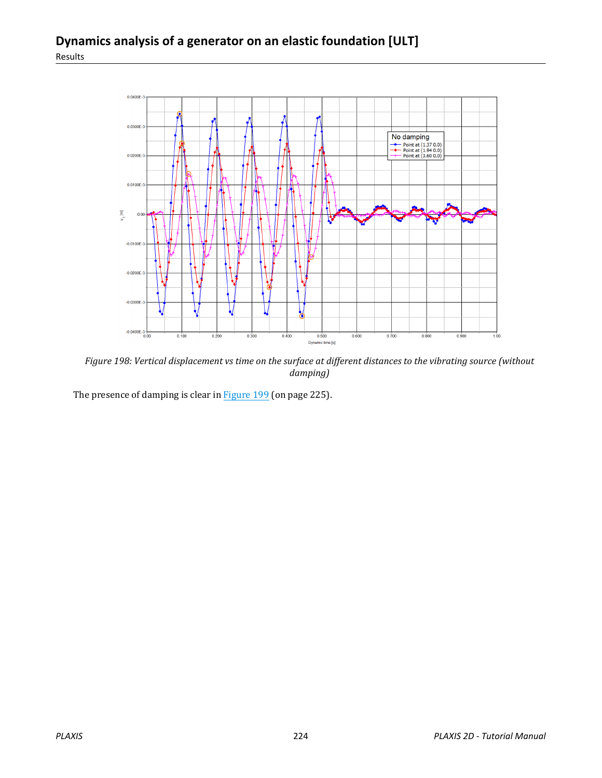<span id="page-11-0"></span>

*Figure 198: Vertical displacement vs time on the surface at different distances to the vibrating source (without damping)*

The presence of damping is clear in [Figure 199](#page-12-0) (on page 225).